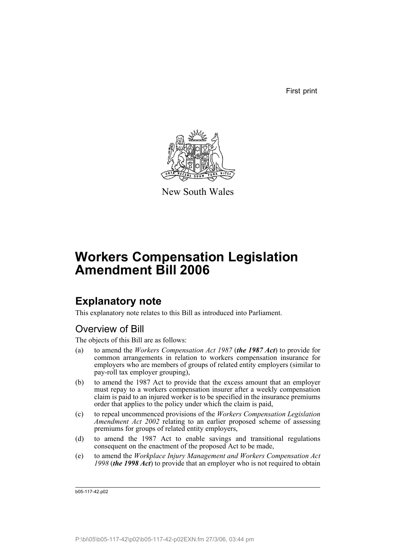First print



New South Wales

# **Workers Compensation Legislation Amendment Bill 2006**

## **Explanatory note**

This explanatory note relates to this Bill as introduced into Parliament.

## Overview of Bill

The objects of this Bill are as follows:

- (a) to amend the *Workers Compensation Act 1987* (*the 1987 Act*) to provide for common arrangements in relation to workers compensation insurance for employers who are members of groups of related entity employers (similar to pay-roll tax employer grouping),
- (b) to amend the 1987 Act to provide that the excess amount that an employer must repay to a workers compensation insurer after a weekly compensation claim is paid to an injured worker is to be specified in the insurance premiums order that applies to the policy under which the claim is paid,
- (c) to repeal uncommenced provisions of the *Workers Compensation Legislation Amendment Act 2002* relating to an earlier proposed scheme of assessing premiums for groups of related entity employers,
- (d) to amend the 1987 Act to enable savings and transitional regulations consequent on the enactment of the proposed Act to be made,
- (e) to amend the *Workplace Injury Management and Workers Compensation Act 1998* (*the 1998 Act*) to provide that an employer who is not required to obtain

b05-117-42.p02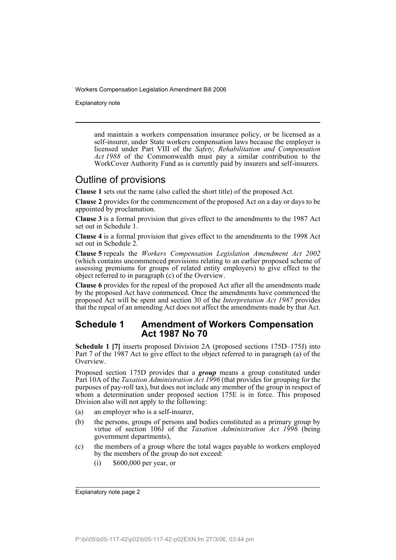Explanatory note

and maintain a workers compensation insurance policy, or be licensed as a self-insurer, under State workers compensation laws because the employer is licensed under Part VIII of the *Safety, Rehabilitation and Compensation Act 1988* of the Commonwealth must pay a similar contribution to the WorkCover Authority Fund as is currently paid by insurers and self-insurers.

## Outline of provisions

**Clause 1** sets out the name (also called the short title) of the proposed Act.

**Clause 2** provides for the commencement of the proposed Act on a day or days to be appointed by proclamation.

**Clause 3** is a formal provision that gives effect to the amendments to the 1987 Act set out in Schedule 1.

**Clause 4** is a formal provision that gives effect to the amendments to the 1998 Act set out in Schedule 2.

**Clause 5** repeals the *Workers Compensation Legislation Amendment Act 2002* (which contains uncommenced provisions relating to an earlier proposed scheme of assessing premiums for groups of related entity employers) to give effect to the object referred to in paragraph (c) of the Overview.

**Clause 6** provides for the repeal of the proposed Act after all the amendments made by the proposed Act have commenced. Once the amendments have commenced the proposed Act will be spent and section 30 of the *Interpretation Act 1987* provides that the repeal of an amending Act does not affect the amendments made by that Act.

## **Schedule 1 Amendment of Workers Compensation Act 1987 No 70**

**Schedule 1 [7]** inserts proposed Division 2A (proposed sections 175D–175J) into Part 7 of the 1987 Act to give effect to the object referred to in paragraph (a) of the **Overview** 

Proposed section 175D provides that a *group* means a group constituted under Part 10A of the *Taxation Administration Act 1996* (that provides for grouping for the purposes of pay-roll tax), but does not include any member of the group in respect of whom a determination under proposed section 175E is in force. This proposed Division also will not apply to the following:

- (a) an employer who is a self-insurer,
- (b) the persons, groups of persons and bodies constituted as a primary group by virtue of section 106J of the *Taxation Administration Act 1996* (being government departments),
- (c) the members of a group where the total wages payable to workers employed by the members of the group do not exceed:
	- $(i)$  \$600,000 per year, or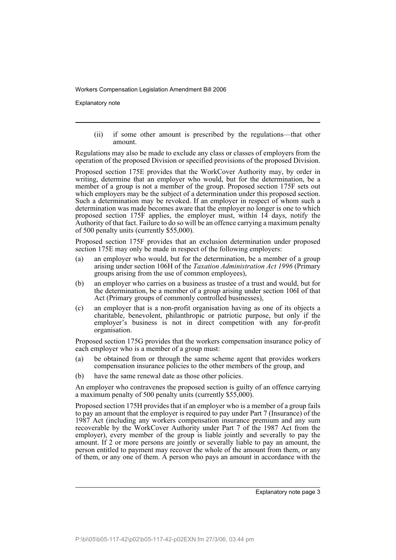Explanatory note

(ii) if some other amount is prescribed by the regulations—that other amount.

Regulations may also be made to exclude any class or classes of employers from the operation of the proposed Division or specified provisions of the proposed Division.

Proposed section 175E provides that the WorkCover Authority may, by order in writing, determine that an employer who would, but for the determination, be a member of a group is not a member of the group. Proposed section 175F sets out which employers may be the subject of a determination under this proposed section. Such a determination may be revoked. If an employer in respect of whom such a determination was made becomes aware that the employer no longer is one to which proposed section 175F applies, the employer must, within  $14$  days, notify the Authority of that fact. Failure to do so will be an offence carrying a maximum penalty of 500 penalty units (currently \$55,000).

Proposed section 175F provides that an exclusion determination under proposed section 175E may only be made in respect of the following employers:

- (a) an employer who would, but for the determination, be a member of a group arising under section 106H of the *Taxation Administration Act 1996* (Primary groups arising from the use of common employees),
- (b) an employer who carries on a business as trustee of a trust and would, but for the determination, be a member of a group arising under section 106I of that Act (Primary groups of commonly controlled businesses),
- (c) an employer that is a non-profit organisation having as one of its objects a charitable, benevolent, philanthropic or patriotic purpose, but only if the employer's business is not in direct competition with any for-profit organisation.

Proposed section 175G provides that the workers compensation insurance policy of each employer who is a member of a group must:

- (a) be obtained from or through the same scheme agent that provides workers compensation insurance policies to the other members of the group, and
- (b) have the same renewal date as those other policies.

An employer who contravenes the proposed section is guilty of an offence carrying a maximum penalty of 500 penalty units (currently \$55,000).

Proposed section 175H provides that if an employer who is a member of a group fails to pay an amount that the employer is required to pay under Part 7 (Insurance) of the 1987 Act (including any workers compensation insurance premium and any sum recoverable by the WorkCover Authority under Part 7 of the 1987 Act from the employer), every member of the group is liable jointly and severally to pay the amount. If 2 or more persons are jointly or severally liable to pay an amount, the person entitled to payment may recover the whole of the amount from them, or any of them, or any one of them. A person who pays an amount in accordance with the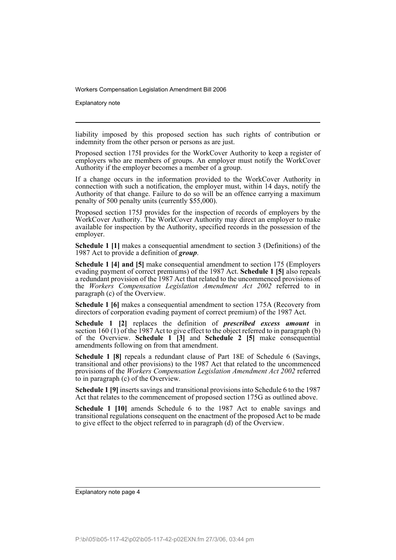Explanatory note

liability imposed by this proposed section has such rights of contribution or indemnity from the other person or persons as are just.

Proposed section 175I provides for the WorkCover Authority to keep a register of employers who are members of groups. An employer must notify the WorkCover Authority if the employer becomes a member of a group.

If a change occurs in the information provided to the WorkCover Authority in connection with such a notification, the employer must, within 14 days, notify the Authority of that change. Failure to do so will be an offence carrying a maximum penalty of 500 penalty units (currently \$55,000).

Proposed section 175J provides for the inspection of records of employers by the WorkCover Authority. The WorkCover Authority may direct an employer to make available for inspection by the Authority, specified records in the possession of the employer.

**Schedule 1 [1]** makes a consequential amendment to section 3 (Definitions) of the 1987 Act to provide a definition of *group*.

**Schedule 1 [4] and [5]** make consequential amendment to section 175 (Employers evading payment of correct premiums) of the 1987 Act. **Schedule 1 [5]** also repeals a redundant provision of the 1987 Act that related to the uncommenced provisions of the *Workers Compensation Legislation Amendment Act 2002* referred to in paragraph (c) of the Overview.

**Schedule 1 [6]** makes a consequential amendment to section 175A (Recovery from directors of corporation evading payment of correct premium) of the 1987 Act.

**Schedule 1 [2]** replaces the definition of *prescribed excess amount* in section 160 (1) of the 1987 Act to give effect to the object referred to in paragraph (b) of the Overview. **Schedule 1 [3]** and **Schedule 2 [5]** make consequential amendments following on from that amendment.

**Schedule 1 [8]** repeals a redundant clause of Part 18E of Schedule 6 (Savings, transitional and other provisions) to the 1987 Act that related to the uncommenced provisions of the *Workers Compensation Legislation Amendment Act 2002* referred to in paragraph (c) of the Overview.

**Schedule 1 [9]** inserts savings and transitional provisions into Schedule 6 to the 1987 Act that relates to the commencement of proposed section 175G as outlined above.

**Schedule 1 [10]** amends Schedule 6 to the 1987 Act to enable savings and transitional regulations consequent on the enactment of the proposed Act to be made to give effect to the object referred to in paragraph (d) of the Overview.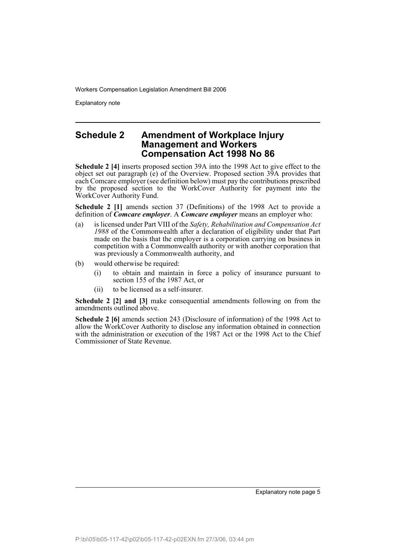Explanatory note

## **Schedule 2 Amendment of Workplace Injury Management and Workers Compensation Act 1998 No 86**

**Schedule 2 [4]** inserts proposed section 39A into the 1998 Act to give effect to the object set out paragraph (e) of the Overview. Proposed section 39A provides that each Comcare employer (see definition below) must pay the contributions prescribed by the proposed section to the WorkCover Authority for payment into the WorkCover Authority Fund.

**Schedule 2 [1]** amends section 37 (Definitions) of the 1998 Act to provide a definition of *Comcare employer*. A *Comcare employer* means an employer who:

- (a) is licensed under Part VIII of the *Safety, Rehabilitation and Compensation Act 1988* of the Commonwealth after a declaration of eligibility under that Part made on the basis that the employer is a corporation carrying on business in competition with a Commonwealth authority or with another corporation that was previously a Commonwealth authority, and
- (b) would otherwise be required:
	- (i) to obtain and maintain in force a policy of insurance pursuant to section 155 of the 1987 Act, or
	- (ii) to be licensed as a self-insurer.

**Schedule 2 [2] and [3]** make consequential amendments following on from the amendments outlined above.

**Schedule 2 [6]** amends section 243 (Disclosure of information) of the 1998 Act to allow the WorkCover Authority to disclose any information obtained in connection with the administration or execution of the 1987 Act or the 1998 Act to the Chief Commissioner of State Revenue.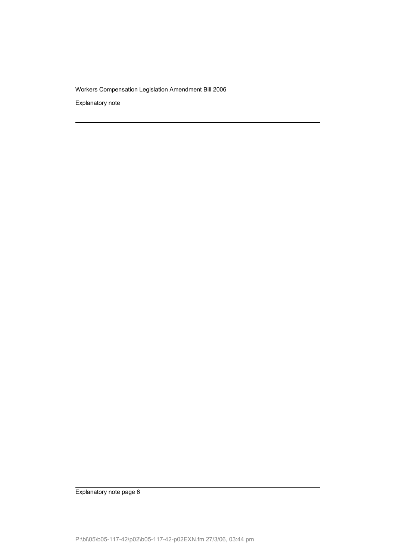Explanatory note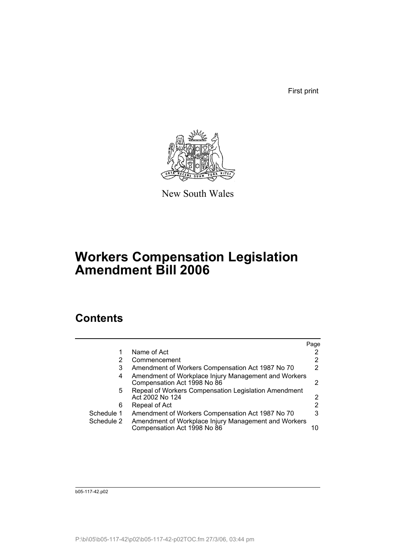First print



New South Wales

# **Workers Compensation Legislation Amendment Bill 2006**

## **Contents**

|            |                                                                                     | Page |
|------------|-------------------------------------------------------------------------------------|------|
|            | Name of Act                                                                         | 2    |
|            | Commencement                                                                        | 2    |
| 3          | Amendment of Workers Compensation Act 1987 No 70                                    | 2    |
| 4          | Amendment of Workplace Injury Management and Workers<br>Compensation Act 1998 No 86 | 2    |
| 5.         | Repeal of Workers Compensation Legislation Amendment<br>Act 2002 No 124             | 2    |
| 6          | Repeal of Act                                                                       | 2    |
| Schedule 1 | Amendment of Workers Compensation Act 1987 No 70                                    | 3    |
| Schedule 2 | Amendment of Workplace Injury Management and Workers<br>Compensation Act 1998 No 86 | 10   |

b05-117-42.p02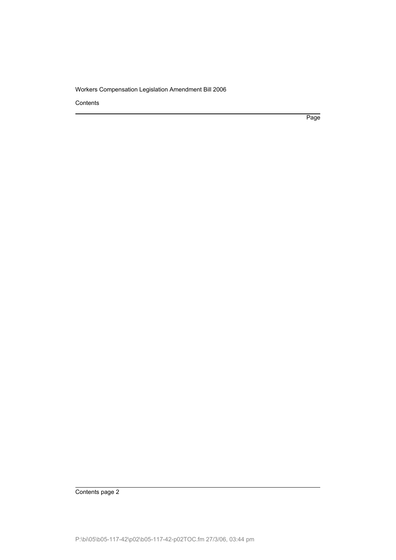Contents

Page

Contents page 2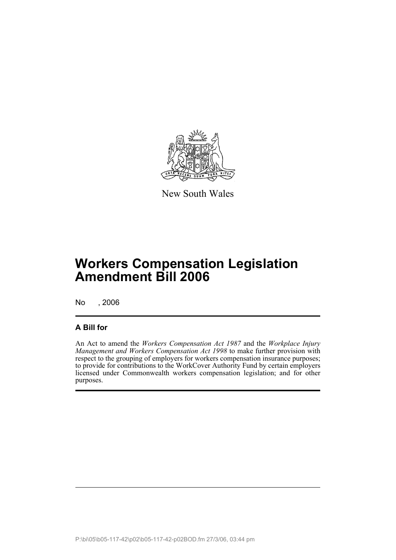

New South Wales

# **Workers Compensation Legislation Amendment Bill 2006**

No , 2006

## **A Bill for**

An Act to amend the *Workers Compensation Act 1987* and the *Workplace Injury Management and Workers Compensation Act 1998* to make further provision with respect to the grouping of employers for workers compensation insurance purposes; to provide for contributions to the WorkCover Authority Fund by certain employers licensed under Commonwealth workers compensation legislation; and for other purposes.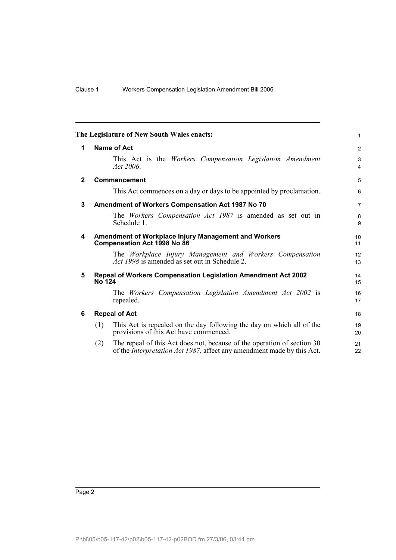|              | The Legislature of New South Wales enacts:                                                                                                               | $\mathbf{1}$        |  |  |  |
|--------------|----------------------------------------------------------------------------------------------------------------------------------------------------------|---------------------|--|--|--|
| 1            | <b>Name of Act</b>                                                                                                                                       |                     |  |  |  |
|              | This Act is the Workers Compensation Legislation Amendment<br>Act 2006.                                                                                  | 3<br>$\overline{4}$ |  |  |  |
| $\mathbf{2}$ | Commencement                                                                                                                                             | 5                   |  |  |  |
|              | This Act commences on a day or days to be appointed by proclamation.                                                                                     | 6                   |  |  |  |
| 3            | Amendment of Workers Compensation Act 1987 No 70                                                                                                         | $\overline{7}$      |  |  |  |
|              | The <i>Workers</i> Compensation Act 1987 is amended as set out in<br>Schedule 1.                                                                         | 8<br>9              |  |  |  |
| 4            | Amendment of Workplace Injury Management and Workers<br>Compensation Act 1998 No 86                                                                      |                     |  |  |  |
|              | The Workplace Injury Management and Workers Compensation<br><i>Act 1998</i> is amended as set out in Schedule 2.                                         | 12<br>13            |  |  |  |
| 5            | Repeal of Workers Compensation Legislation Amendment Act 2002<br>No 124                                                                                  | 14<br>15            |  |  |  |
|              | The Workers Compensation Legislation Amendment Act 2002 is<br>repealed.                                                                                  | 16<br>17            |  |  |  |
| 6            | <b>Repeal of Act</b>                                                                                                                                     | 18                  |  |  |  |
|              | This Act is repealed on the day following the day on which all of the<br>(1)<br>provisions of this Act have commenced.                                   | 19<br>20            |  |  |  |
|              | The repeal of this Act does not, because of the operation of section 30<br>(2)<br>of the Interpretation Act 1987, affect any amendment made by this Act. | 21<br>22            |  |  |  |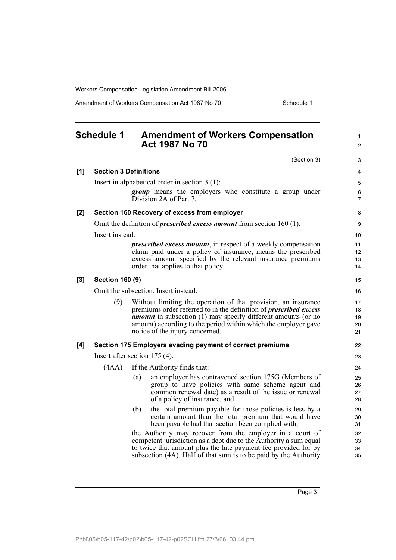Amendment of Workers Compensation Act 1987 No 70 Schedule 1

#### **Schedule 1 Amendment of Workers Compensation Act 1987 No 70** (Section 3) **[1] Section 3 Definitions** Insert in alphabetical order in section 3 (1): *group* means the employers who constitute a group under Division 2A of Part 7. **[2] Section 160 Recovery of excess from employer** Omit the definition of *prescribed excess amount* from section 160 (1). Insert instead: *prescribed excess amount*, in respect of a weekly compensation claim paid under a policy of insurance, means the prescribed excess amount specified by the relevant insurance premiums order that applies to that policy. **[3] Section 160 (9)** Omit the subsection. Insert instead: (9) Without limiting the operation of that provision, an insurance premiums order referred to in the definition of *prescribed excess amount* in subsection (1) may specify different amounts (or no amount) according to the period within which the employer gave notice of the injury concerned. **[4] Section 175 Employers evading payment of correct premiums** Insert after section 175 (4): (4AA) If the Authority finds that: (a) an employer has contravened section 175G (Members of group to have policies with same scheme agent and common renewal date) as a result of the issue or renewal of a policy of insurance, and (b) the total premium payable for those policies is less by a certain amount than the total premium that would have been payable had that section been complied with, the Authority may recover from the employer in a court of competent jurisdiction as a debt due to the Authority a sum equal to twice that amount plus the late payment fee provided for by 1  $\mathfrak{p}$ 3 4 5 6 7 8 9 10 11 12 13 14 15 16 17 18 19 20 21 22 23 24 25 26 27 28 29 30 31 32 33 34

subsection (4A). Half of that sum is to be paid by the Authority

Page 3

35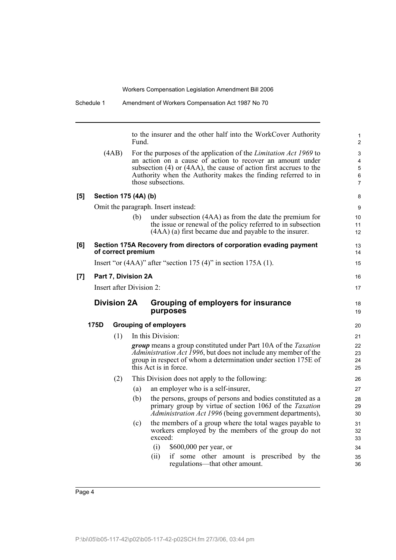18 19

| to the insurer and the other half into the WorkCover Authority<br>Fund.<br>For the purposes of the application of the <i>Limitation Act 1969</i> to<br>(4AB)<br>an action on a cause of action to recover an amount under<br>subsection (4) or (4AA), the cause of action first accrues to the<br>Authority when the Authority makes the finding referred to in<br>those subsections.<br>[5]<br>Section 175 (4A) (b)<br>Omit the paragraph. Insert instead: |                                                                     |  |  |  |  |
|-------------------------------------------------------------------------------------------------------------------------------------------------------------------------------------------------------------------------------------------------------------------------------------------------------------------------------------------------------------------------------------------------------------------------------------------------------------|---------------------------------------------------------------------|--|--|--|--|
|                                                                                                                                                                                                                                                                                                                                                                                                                                                             |                                                                     |  |  |  |  |
|                                                                                                                                                                                                                                                                                                                                                                                                                                                             |                                                                     |  |  |  |  |
|                                                                                                                                                                                                                                                                                                                                                                                                                                                             |                                                                     |  |  |  |  |
|                                                                                                                                                                                                                                                                                                                                                                                                                                                             |                                                                     |  |  |  |  |
| under subsection (4AA) as from the date the premium for<br>(b)<br>the issue or renewal of the policy referred to in subsection<br>(4AA) (a) first became due and payable to the insurer.                                                                                                                                                                                                                                                                    |                                                                     |  |  |  |  |
| [6]<br>of correct premium                                                                                                                                                                                                                                                                                                                                                                                                                                   | Section 175A Recovery from directors of corporation evading payment |  |  |  |  |
| Insert "or $(4AA)$ " after "section 175 $(4)$ " in section 175 $A(1)$ .                                                                                                                                                                                                                                                                                                                                                                                     |                                                                     |  |  |  |  |
| Part 7, Division 2A<br>[7]                                                                                                                                                                                                                                                                                                                                                                                                                                  |                                                                     |  |  |  |  |
| Insert after Division 2:                                                                                                                                                                                                                                                                                                                                                                                                                                    |                                                                     |  |  |  |  |
| <b>Division 2A</b><br>Grouping of employers for insurance<br>purposes                                                                                                                                                                                                                                                                                                                                                                                       |                                                                     |  |  |  |  |
| <b>Grouping of employers</b><br>175D                                                                                                                                                                                                                                                                                                                                                                                                                        |                                                                     |  |  |  |  |
| In this Division:<br>(1)                                                                                                                                                                                                                                                                                                                                                                                                                                    |                                                                     |  |  |  |  |
| <b>group</b> means a group constituted under Part 10A of the <i>Taxation</i><br>Administration Act 1996, but does not include any member of the<br>group in respect of whom a determination under section 175E of<br>this Act is in force.                                                                                                                                                                                                                  |                                                                     |  |  |  |  |
| (2)<br>This Division does not apply to the following:                                                                                                                                                                                                                                                                                                                                                                                                       |                                                                     |  |  |  |  |
| an employer who is a self-insurer,<br>(a)                                                                                                                                                                                                                                                                                                                                                                                                                   |                                                                     |  |  |  |  |
| the persons, groups of persons and bodies constituted as a<br>(b)<br>primary group by virtue of section 106J of the Taxation<br><i>Administration Act 1996</i> (being government departments),                                                                                                                                                                                                                                                              |                                                                     |  |  |  |  |
| the members of a group where the total wages payable to<br>(c)<br>workers employed by the members of the group do not<br>exceed:<br>(i)<br>\$600,000 per year, or                                                                                                                                                                                                                                                                                           | if some other amount is prescribed by the                           |  |  |  |  |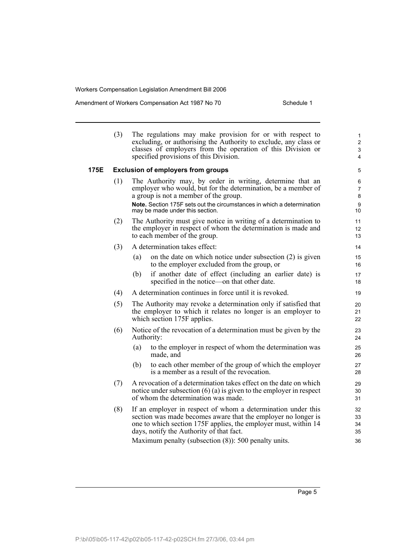Amendment of Workers Compensation Act 1987 No 70 Schedule 1

|      | (3) |                                                                                                                                                                                                                                                                                  | The regulations may make provision for or with respect to<br>excluding, or authorising the Authority to exclude, any class or<br>classes of employers from the operation of this Division or<br>specified provisions of this Division.       | 1<br>$\overline{\mathbf{c}}$<br>3<br>4 |  |
|------|-----|----------------------------------------------------------------------------------------------------------------------------------------------------------------------------------------------------------------------------------------------------------------------------------|----------------------------------------------------------------------------------------------------------------------------------------------------------------------------------------------------------------------------------------------|----------------------------------------|--|
| 175E |     |                                                                                                                                                                                                                                                                                  | <b>Exclusion of employers from groups</b>                                                                                                                                                                                                    | 5                                      |  |
|      | (1) | The Authority may, by order in writing, determine that an<br>employer who would, but for the determination, be a member of<br>a group is not a member of the group.<br>Note. Section 175F sets out the circumstances in which a determination<br>may be made under this section. |                                                                                                                                                                                                                                              |                                        |  |
|      | (2) | The Authority must give notice in writing of a determination to<br>the employer in respect of whom the determination is made and<br>to each member of the group.                                                                                                                 |                                                                                                                                                                                                                                              |                                        |  |
|      | (3) |                                                                                                                                                                                                                                                                                  | A determination takes effect:                                                                                                                                                                                                                | 14                                     |  |
|      |     | (a)                                                                                                                                                                                                                                                                              | on the date on which notice under subsection $(2)$ is given<br>to the employer excluded from the group, or                                                                                                                                   | 15<br>16                               |  |
|      |     | (b)                                                                                                                                                                                                                                                                              | if another date of effect (including an earlier date) is<br>specified in the notice—on that other date.                                                                                                                                      | 17<br>18                               |  |
|      | (4) |                                                                                                                                                                                                                                                                                  | A determination continues in force until it is revoked.                                                                                                                                                                                      | 19                                     |  |
|      | (5) |                                                                                                                                                                                                                                                                                  | The Authority may revoke a determination only if satisfied that<br>the employer to which it relates no longer is an employer to<br>which section 175F applies.                                                                               | 20<br>21<br>22                         |  |
|      | (6) |                                                                                                                                                                                                                                                                                  | Notice of the revocation of a determination must be given by the<br>Authority:                                                                                                                                                               | 23<br>24                               |  |
|      |     | (a)                                                                                                                                                                                                                                                                              | to the employer in respect of whom the determination was<br>made, and                                                                                                                                                                        | 25<br>26                               |  |
|      |     | (b)                                                                                                                                                                                                                                                                              | to each other member of the group of which the employer<br>is a member as a result of the revocation.                                                                                                                                        | 27<br>28                               |  |
|      | (7) |                                                                                                                                                                                                                                                                                  | A revocation of a determination takes effect on the date on which<br>notice under subsection $(6)$ (a) is given to the employer in respect<br>of whom the determination was made.                                                            | 29<br>30<br>31                         |  |
|      | (8) |                                                                                                                                                                                                                                                                                  | If an employer in respect of whom a determination under this<br>section was made becomes aware that the employer no longer is<br>one to which section 175F applies, the employer must, within 14<br>days, notify the Authority of that fact. | 32<br>33<br>34<br>35                   |  |
|      |     |                                                                                                                                                                                                                                                                                  | Maximum penalty (subsection (8)): 500 penalty units.                                                                                                                                                                                         | 36                                     |  |

Page 5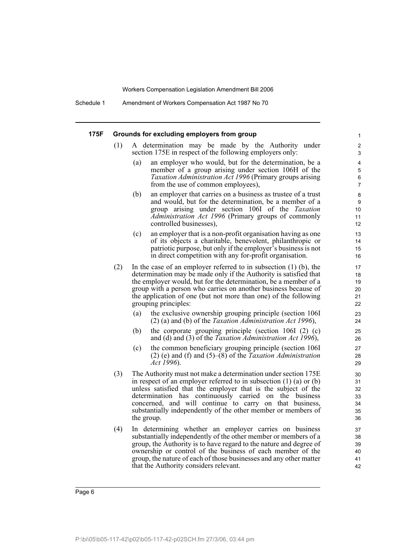#### **175F Grounds for excluding employers from group**

- (1) A determination may be made by the Authority under section 175E in respect of the following employers only:
	- (a) an employer who would, but for the determination, be a member of a group arising under section 106H of the *Taxation Administration Act 1996* (Primary groups arising from the use of common employees),

- (b) an employer that carries on a business as trustee of a trust and would, but for the determination, be a member of a group arising under section 106I of the *Taxation Administration Act 1996* (Primary groups of commonly controlled businesses),
- (c) an employer that is a non-profit organisation having as one of its objects a charitable, benevolent, philanthropic or patriotic purpose, but only if the employer's business is not in direct competition with any for-profit organisation.
- (2) In the case of an employer referred to in subsection (1) (b), the determination may be made only if the Authority is satisfied that the employer would, but for the determination, be a member of a group with a person who carries on another business because of the application of one (but not more than one) of the following grouping principles:
	- (a) the exclusive ownership grouping principle (section 106I (2) (a) and (b) of the *Taxation Administration Act 1996*),
	- (b) the corporate grouping principle (section 106I (2) (c) and (d) and (3) of the *Taxation Administration Act 1996*),
	- (c) the common beneficiary grouping principle (section 106I (2) (e) and (f) and (5)–(8) of the *Taxation Administration Act 1996*).
- (3) The Authority must not make a determination under section 175E in respect of an employer referred to in subsection (1) (a) or (b) unless satisfied that the employer that is the subject of the determination has continuously carried on the business concerned, and will continue to carry on that business, substantially independently of the other member or members of the group.
- (4) In determining whether an employer carries on business substantially independently of the other member or members of a group, the Authority is to have regard to the nature and degree of ownership or control of the business of each member of the group, the nature of each of those businesses and any other matter that the Authority considers relevant.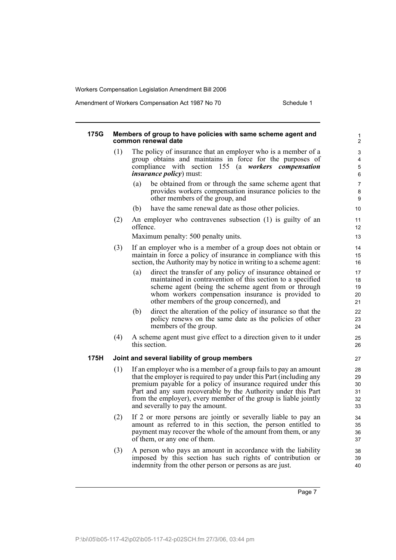Amendment of Workers Compensation Act 1987 No 70 Schedule 1

#### **175G Members of group to have policies with same scheme agent and common renewal date** (1) The policy of insurance that an employer who is a member of a group obtains and maintains in force for the purposes of compliance with section 155 (a *workers compensation insurance policy*) must: (a) be obtained from or through the same scheme agent that provides workers compensation insurance policies to the other members of the group, and (b) have the same renewal date as those other policies. (2) An employer who contravenes subsection (1) is guilty of an offence. Maximum penalty: 500 penalty units. (3) If an employer who is a member of a group does not obtain or maintain in force a policy of insurance in compliance with this section, the Authority may by notice in writing to a scheme agent: (a) direct the transfer of any policy of insurance obtained or maintained in contravention of this section to a specified scheme agent (being the scheme agent from or through whom workers compensation insurance is provided to other members of the group concerned), and (b) direct the alteration of the policy of insurance so that the policy renews on the same date as the policies of other members of the group. (4) A scheme agent must give effect to a direction given to it under this section. **175H Joint and several liability of group members** (1) If an employer who is a member of a group fails to pay an amount that the employer is required to pay under this Part (including any premium payable for a policy of insurance required under this Part and any sum recoverable by the Authority under this Part from the employer), every member of the group is liable jointly and severally to pay the amount. (2) If 2 or more persons are jointly or severally liable to pay an amount as referred to in this section, the person entitled to payment may recover the whole of the amount from them, or any of them, or any one of them. (3) A person who pays an amount in accordance with the liability imposed by this section has such rights of contribution or indemnity from the other person or persons as are just. 10 11 12 13  $14$ 15 16 17 18 19 20 21 22 23 24 25 26 27 28 29 30 31 32 33 34 35 36 37 38 39 40

Page 7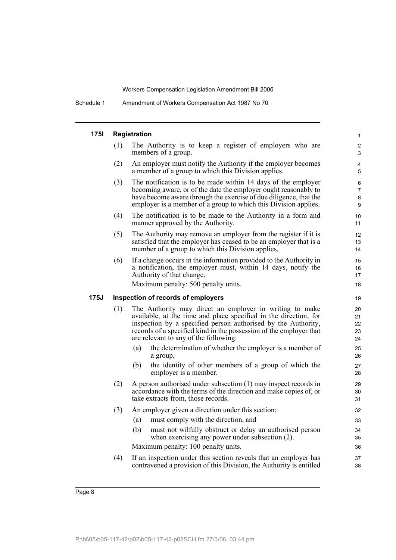### **175I Registration**

| <b>1751</b> | <b>Registration</b> |                                                                                                                                                                                                                                                                                                             |                  |  |  |  |
|-------------|---------------------|-------------------------------------------------------------------------------------------------------------------------------------------------------------------------------------------------------------------------------------------------------------------------------------------------------------|------------------|--|--|--|
|             | (1)                 | The Authority is to keep a register of employers who are<br>members of a group.                                                                                                                                                                                                                             |                  |  |  |  |
|             | (2)                 | An employer must notify the Authority if the employer becomes<br>a member of a group to which this Division applies.                                                                                                                                                                                        |                  |  |  |  |
|             | (3)                 | The notification is to be made within 14 days of the employer<br>becoming aware, or of the date the employer ought reasonably to<br>have become aware through the exercise of due diligence, that the<br>employer is a member of a group to which this Division applies.                                    | 6<br>7<br>8<br>9 |  |  |  |
|             | (4)                 | The notification is to be made to the Authority in a form and<br>manner approved by the Authority.                                                                                                                                                                                                          | 10<br>11         |  |  |  |
|             | (5)                 | The Authority may remove an employer from the register if it is<br>satisfied that the employer has ceased to be an employer that is a<br>member of a group to which this Division applies.                                                                                                                  | 12<br>13<br>14   |  |  |  |
|             | (6)                 | If a change occurs in the information provided to the Authority in<br>a notification, the employer must, within 14 days, notify the<br>Authority of that change.                                                                                                                                            | 15<br>16<br>17   |  |  |  |
|             |                     | Maximum penalty: 500 penalty units.                                                                                                                                                                                                                                                                         | 18               |  |  |  |
| 175J        |                     | Inspection of records of employers<br>19                                                                                                                                                                                                                                                                    |                  |  |  |  |
|             | (1)                 | The Authority may direct an employer in writing to make<br>available, at the time and place specified in the direction, for<br>inspection by a specified person authorised by the Authority,<br>records of a specified kind in the possession of the employer that<br>are relevant to any of the following: |                  |  |  |  |
|             |                     | the determination of whether the employer is a member of<br>(a)<br>a group,                                                                                                                                                                                                                                 | 25<br>26         |  |  |  |
|             |                     | (b)<br>the identity of other members of a group of which the<br>employer is a member.                                                                                                                                                                                                                       | 27<br>28         |  |  |  |
|             | (2)                 | A person authorised under subsection (1) may inspect records in<br>accordance with the terms of the direction and make copies of, or<br>take extracts from, those records.                                                                                                                                  |                  |  |  |  |
|             | (3)                 | An employer given a direction under this section:                                                                                                                                                                                                                                                           | 32               |  |  |  |
|             |                     | must comply with the direction, and<br>(a)                                                                                                                                                                                                                                                                  | 33               |  |  |  |
|             |                     | (b)<br>must not wilfully obstruct or delay an authorised person<br>when exercising any power under subsection (2).                                                                                                                                                                                          | 34<br>35         |  |  |  |
|             |                     | Maximum penalty: 100 penalty units.                                                                                                                                                                                                                                                                         | 36               |  |  |  |
|             | (4)                 | If an inspection under this section reveals that an employer has<br>contravened a provision of this Division, the Authority is entitled                                                                                                                                                                     | 37<br>38         |  |  |  |
|             |                     |                                                                                                                                                                                                                                                                                                             |                  |  |  |  |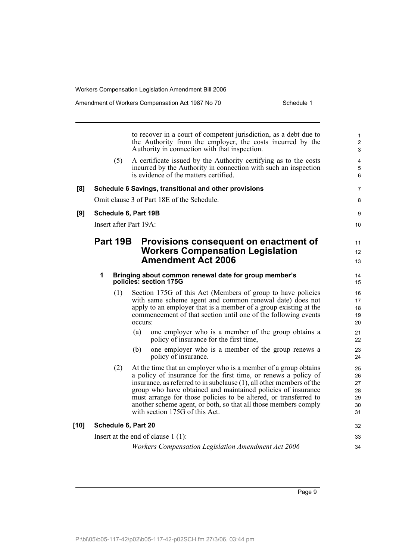|        |                                                       | to recover in a court of competent jurisdiction, as a debt due to<br>the Authority from the employer, the costs incurred by the<br>Authority in connection with that inspection.                                                                                                                                                                                                                                                                    | 1<br>$\overline{\mathbf{c}}$<br>3      |  |
|--------|-------------------------------------------------------|-----------------------------------------------------------------------------------------------------------------------------------------------------------------------------------------------------------------------------------------------------------------------------------------------------------------------------------------------------------------------------------------------------------------------------------------------------|----------------------------------------|--|
|        | (5)                                                   | A certificate issued by the Authority certifying as to the costs<br>incurred by the Authority in connection with such an inspection<br>is evidence of the matters certified.                                                                                                                                                                                                                                                                        | 4<br>5<br>6                            |  |
| [8]    | Schedule 6 Savings, transitional and other provisions |                                                                                                                                                                                                                                                                                                                                                                                                                                                     |                                        |  |
|        |                                                       | Omit clause 3 of Part 18E of the Schedule.                                                                                                                                                                                                                                                                                                                                                                                                          | 8                                      |  |
| [9]    |                                                       | Schedule 6, Part 19B                                                                                                                                                                                                                                                                                                                                                                                                                                | 9                                      |  |
|        | Insert after Part 19A:                                |                                                                                                                                                                                                                                                                                                                                                                                                                                                     |                                        |  |
|        | Part 19B                                              | Provisions consequent on enactment of<br><b>Workers Compensation Legislation</b><br><b>Amendment Act 2006</b>                                                                                                                                                                                                                                                                                                                                       | 11<br>12<br>13                         |  |
|        | 1                                                     | Bringing about common renewal date for group member's<br>policies: section 175G                                                                                                                                                                                                                                                                                                                                                                     | 14<br>15                               |  |
|        | (1)                                                   | Section 175G of this Act (Members of group to have policies<br>with same scheme agent and common renewal date) does not<br>apply to an employer that is a member of a group existing at the<br>commencement of that section until one of the following events<br>occurs:                                                                                                                                                                            | 16<br>17<br>18<br>19<br>20             |  |
|        |                                                       | (a)<br>one employer who is a member of the group obtains a<br>policy of insurance for the first time,<br>one employer who is a member of the group renews a<br>(b)<br>policy of insurance.                                                                                                                                                                                                                                                          | 21<br>22<br>23<br>24                   |  |
|        | (2)                                                   | At the time that an employer who is a member of a group obtains<br>a policy of insurance for the first time, or renews a policy of<br>insurance, as referred to in subclause (1), all other members of the<br>group who have obtained and maintained policies of insurance<br>must arrange for those policies to be altered, or transferred to<br>another scheme agent, or both, so that all those members comply<br>with section 175G of this Act. | 25<br>26<br>27<br>28<br>29<br>30<br>31 |  |
| $[10]$ | Schedule 6, Part 20                                   |                                                                                                                                                                                                                                                                                                                                                                                                                                                     |                                        |  |
|        |                                                       | Insert at the end of clause $1(1)$ :                                                                                                                                                                                                                                                                                                                                                                                                                | 33                                     |  |
|        |                                                       | <b>Workers Compensation Legislation Amendment Act 2006</b>                                                                                                                                                                                                                                                                                                                                                                                          | 34                                     |  |

Page 9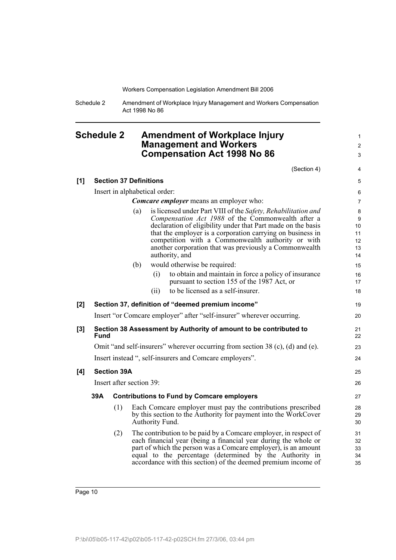Schedule 2 Amendment of Workplace Injury Management and Workers Compensation Act 1998 No 86

> 1 2 3

## **Schedule 2 Amendment of Workplace Injury Management and Workers Compensation Act 1998 No 86**

|     |                                                                               |                               |     | (Section 4)                                                                                                                                                                                                                                                                                                                                                                       | $\overline{4}$                       |
|-----|-------------------------------------------------------------------------------|-------------------------------|-----|-----------------------------------------------------------------------------------------------------------------------------------------------------------------------------------------------------------------------------------------------------------------------------------------------------------------------------------------------------------------------------------|--------------------------------------|
| [1] |                                                                               | <b>Section 37 Definitions</b> |     |                                                                                                                                                                                                                                                                                                                                                                                   | 5                                    |
|     | Insert in alphabetical order:                                                 |                               |     |                                                                                                                                                                                                                                                                                                                                                                                   | 6                                    |
|     | <b>Comcare employer</b> means an employer who:                                |                               |     |                                                                                                                                                                                                                                                                                                                                                                                   | 7                                    |
|     |                                                                               |                               | (a) | is licensed under Part VIII of the Safety, Rehabilitation and<br>Compensation Act 1988 of the Commonwealth after a<br>declaration of eligibility under that Part made on the basis<br>that the employer is a corporation carrying on business in<br>competition with a Commonwealth authority or with<br>another corporation that was previously a Commonwealth<br>authority, and | 8<br>9<br>10<br>11<br>12<br>13<br>14 |
|     |                                                                               |                               | (b) | would otherwise be required:                                                                                                                                                                                                                                                                                                                                                      | 15                                   |
|     |                                                                               |                               |     | to obtain and maintain in force a policy of insurance<br>(i)<br>pursuant to section 155 of the 1987 Act, or                                                                                                                                                                                                                                                                       | 16<br>17                             |
|     |                                                                               |                               |     | to be licensed as a self-insurer.<br>(ii)                                                                                                                                                                                                                                                                                                                                         | 18                                   |
| [2] | Section 37, definition of "deemed premium income"                             |                               |     |                                                                                                                                                                                                                                                                                                                                                                                   | 19                                   |
|     | Insert "or Comcare employer" after "self-insurer" wherever occurring.         |                               |     |                                                                                                                                                                                                                                                                                                                                                                                   | 20                                   |
| [3] | Section 38 Assessment by Authority of amount to be contributed to<br>Fund     |                               |     | 21<br>22                                                                                                                                                                                                                                                                                                                                                                          |                                      |
|     | Omit "and self-insurers" wherever occurring from section 38 (c), (d) and (e). |                               |     |                                                                                                                                                                                                                                                                                                                                                                                   |                                      |
|     | Insert instead ", self-insurers and Comcare employers".                       |                               |     |                                                                                                                                                                                                                                                                                                                                                                                   | 24                                   |
| [4] |                                                                               | <b>Section 39A</b>            |     |                                                                                                                                                                                                                                                                                                                                                                                   | 25                                   |
|     | Insert after section 39:                                                      |                               |     |                                                                                                                                                                                                                                                                                                                                                                                   | 26                                   |
|     | 39A                                                                           |                               |     | <b>Contributions to Fund by Comcare employers</b>                                                                                                                                                                                                                                                                                                                                 | 27                                   |
|     |                                                                               | (1)                           |     | Each Comcare employer must pay the contributions prescribed<br>by this section to the Authority for payment into the WorkCover<br>Authority Fund.                                                                                                                                                                                                                                 | 28<br>29<br>30                       |
|     |                                                                               | (2)                           |     | The contribution to be paid by a Comcare employer, in respect of<br>each financial year (being a financial year during the whole or<br>part of which the person was a Comcare employer), is an amount<br>equal to the percentage (determined by the Authority in<br>accordance with this section) of the deemed premium income of                                                 | 31<br>32<br>33<br>34<br>35           |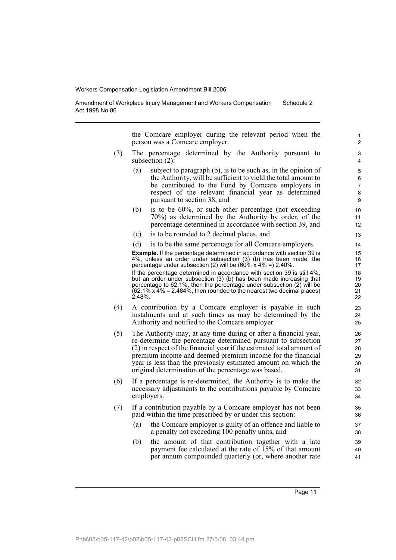Amendment of Workplace Injury Management and Workers Compensation Act 1998 No 86 Schedule 2

> the Comcare employer during the relevant period when the person was a Comcare employer.

- (3) The percentage determined by the Authority pursuant to subsection (2):
	- (a) subject to paragraph (b), is to be such as, in the opinion of the Authority, will be sufficient to yield the total amount to be contributed to the Fund by Comcare employers in respect of the relevant financial year as determined pursuant to section 38, and
	- (b) is to be 60%, or such other percentage (not exceeding 70%) as determined by the Authority by order, of the percentage determined in accordance with section 39, and
	- (c) is to be rounded to 2 decimal places, and

(d) is to be the same percentage for all Comcare employers. **Example.** If the percentage determined in accordance with section 39 is 4%, unless an order under subsection (3) (b) has been made, the percentage under subsection (2) will be (60% x 4% =) 2.40%.

If the percentage determined in accordance with section 39 is still 4%, but an order under subsection (3) (b) has been made increasing that percentage to 62.1%, then the percentage under subsection (2) will be  $(62.1\% \times 4\% = 2.484\%,$  then rounded to the nearest two decimal places)  $2.48%$ 

- (4) A contribution by a Comcare employer is payable in such instalments and at such times as may be determined by the Authority and notified to the Comcare employer.
- (5) The Authority may, at any time during or after a financial year, re-determine the percentage determined pursuant to subsection (2) in respect of the financial year if the estimated total amount of premium income and deemed premium income for the financial year is less than the previously estimated amount on which the original determination of the percentage was based.
- (6) If a percentage is re-determined, the Authority is to make the necessary adjustments to the contributions payable by Comcare employers.
- (7) If a contribution payable by a Comcare employer has not been paid within the time prescribed by or under this section:
	- (a) the Comcare employer is guilty of an offence and liable to a penalty not exceeding 100 penalty units, and
	- (b) the amount of that contribution together with a late payment fee calculated at the rate of 15% of that amount per annum compounded quarterly (or, where another rate

Page 11